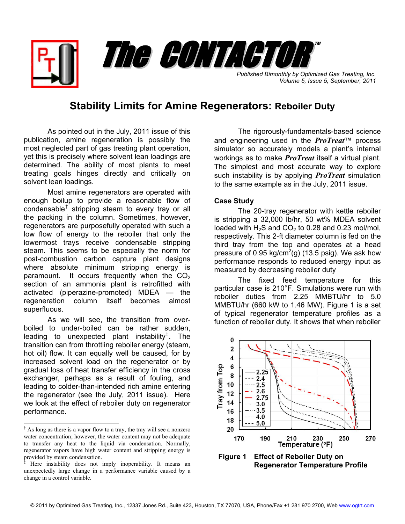*Published Bimonthly by Optimized Gas Treating, Inc. Volume 5, Issue 5, September, 2011* The CONTACTOR ™

## **Stability Limits for Amine Regenerators: Reboiler Duty**

As pointed out in the July, 2011 issue of this publication, amine regeneration is possibly the most neglected part of gas treating plant operation, yet this is precisely where solvent lean loadings are determined. The ability of most plants to meet treating goals hinges directly and critically on solvent lean loadings.

Most amine regenerators are operated with enough boilup to provide a reasonable flow of condensable<sup>[†](#page-0-0)</sup> stripping steam to every tray or all the packing in the column. Sometimes, however, regenerators are purposefully operated with such a low flow of energy to the reboiler that only the lowermost trays receive condensable stripping steam. This seems to be especially the norm for post-combustion carbon capture plant designs where absolute minimum stripping energy is paramount. It occurs frequently when the  $CO<sub>2</sub>$ section of an ammonia plant is retrofitted with activated (piperazine-promoted) MDEA — the regeneration column itself becomes almost superfluous.

As we will see, the transition from overboiled to under-boiled can be rather sudden, leading to unexpected plant instability<sup>[‡](#page-0-1)</sup>. The transition can from throttling reboiler energy (steam, hot oil) flow. It can equally well be caused, for by increased solvent load on the regenerator or by gradual loss of heat transfer efficiency in the cross exchanger, perhaps as a result of fouling, and leading to colder-than-intended rich amine entering the regenerator (see the July, 2011 issue). Here we look at the effect of reboiler duty on regenerator performance.

 $\overline{\phantom{a}}$ 

The rigorously-fundamentals-based science and engineering used in the *ProTreat*™ process simulator so accurately models a plant's internal workings as to make *ProTreat* itself a virtual plant. The simplest and most accurate way to explore such instability is by applying *ProTreat* simulation to the same example as in the July, 2011 issue.

## **Case Study**

 The 20-tray regenerator with kettle reboiler is stripping a 32,000 lb/hr, 50 wt% MDEA solvent loaded with  $H_2S$  and  $CO_2$  to 0.28 and 0.23 mol/mol, respectively. This 2-ft diameter column is fed on the third tray from the top and operates at a head pressure of 0.95 kg/cm<sup>2</sup>(g) (13.5 psig). We ask how performance responds to reduced energy input as measured by decreasing reboiler duty

 The fixed feed temperature for this particular case is 210°F. Simulations were run with reboiler duties from 2.25 MMBTU/hr to 5.0 MMBTU/hr (660 kW to 1.46 MW). Figure 1 is a set of typical regenerator temperature profiles as a function of reboiler duty. It shows that when reboiler



**Regenerator Temperature Profile**

<span id="page-0-0"></span><sup>†</sup> As long as there is a vapor flow to a tray, the tray will see a nonzero water concentration; however, the water content may not be adequate to transfer any heat to the liquid via condensation. Normally, regenerator vapors have high water content and stripping energy is provided by steam condensation.

<span id="page-0-1"></span><sup>‡</sup> Here instability does not imply inoperability. It means an unexpectedly large change in a performance variable caused by a change in a control variable.